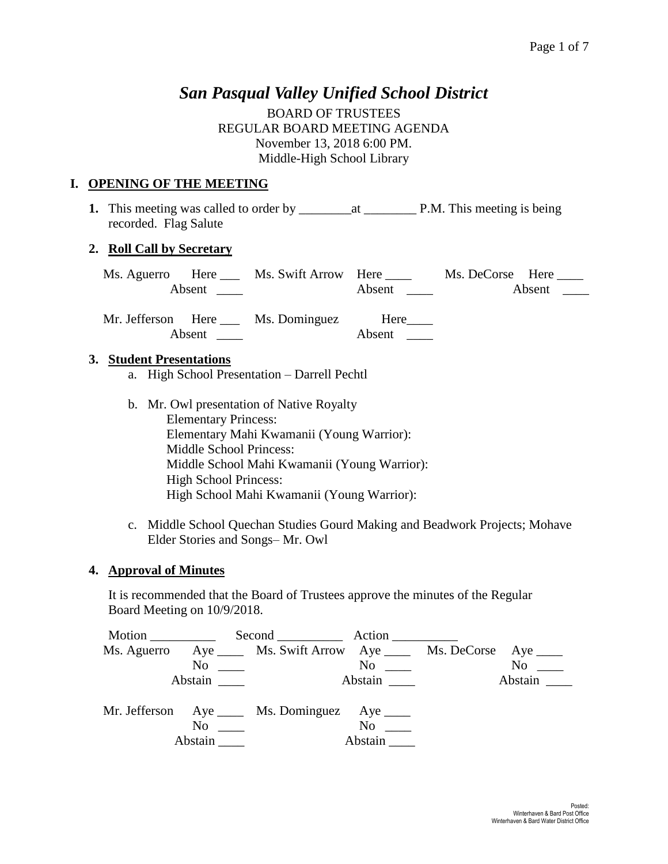# *San Pasqual Valley Unified School District*

BOARD OF TRUSTEES REGULAR BOARD MEETING AGENDA November 13, 2018 6:00 PM. Middle-High School Library

## **I. OPENING OF THE MEETING**

**1.** This meeting was called to order by \_\_\_\_\_\_\_\_at \_\_\_\_\_\_\_\_ P.M. This meeting is being recorded. Flag Salute

## **2. Roll Call by Secretary**

|        | Ms. Aguerro Here ____ Ms. Swift Arrow Here ____ |                               | Ms. DeCorse Here |
|--------|-------------------------------------------------|-------------------------------|------------------|
|        |                                                 | Absent $\qquad \qquad \qquad$ | Absent $\_\_$    |
| Absent | Mr. Jefferson Here Ms. Dominguez Here           | Absent                        |                  |

## **3. Student Presentations**

- a. High School Presentation Darrell Pechtl
- b. Mr. Owl presentation of Native Royalty Elementary Princess: Elementary Mahi Kwamanii (Young Warrior): Middle School Princess: Middle School Mahi Kwamanii (Young Warrior): High School Princess: High School Mahi Kwamanii (Young Warrior):
- c. Middle School Quechan Studies Gourd Making and Beadwork Projects; Mohave Elder Stories and Songs– Mr. Owl

## **4. Approval of Minutes**

It is recommended that the Board of Trustees approve the minutes of the Regular Board Meeting on 10/9/2018.

| Motion      |                | Second Action                                              |                                           |           |
|-------------|----------------|------------------------------------------------------------|-------------------------------------------|-----------|
| Ms. Aguerro |                | Aye ______ Ms. Swift Arrow Aye _____ Ms. DeCorse Aye _____ |                                           |           |
|             |                | $\overline{N}$ $\overline{N}$                              | $\overline{N}$ o $\overline{\phantom{0}}$ | $No \_\_$ |
|             | Abstain        |                                                            | Abstain                                   |           |
|             |                | Mr. Jefferson Aye _____ Ms. Dominguez Aye _____            |                                           |           |
|             | N <sub>0</sub> |                                                            | No no                                     |           |
|             | Abstain        |                                                            | Abstain                                   |           |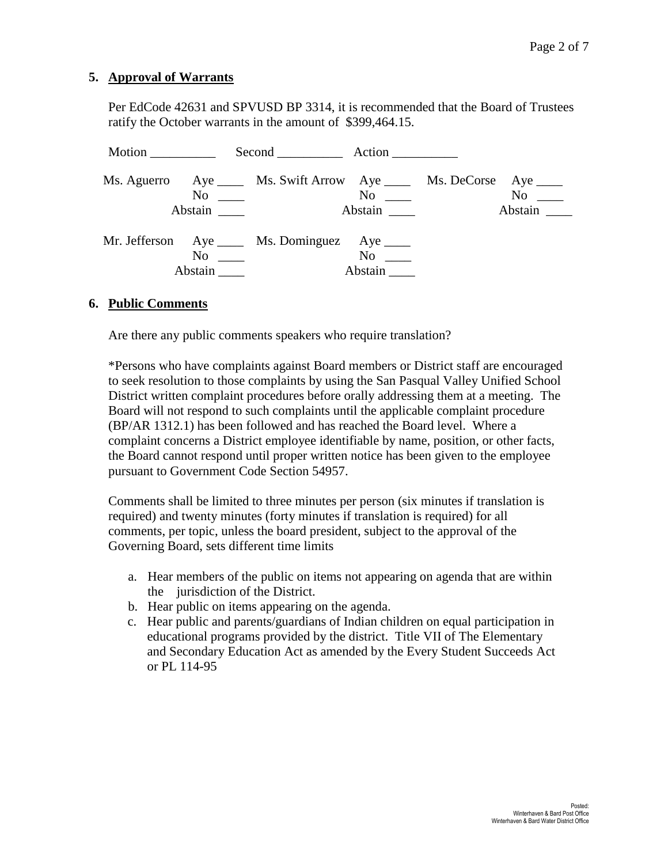#### **5. Approval of Warrants**

Per EdCode 42631 and SPVUSD BP 3314, it is recommended that the Board of Trustees ratify the October warrants in the amount of \$399,464.15.

| Motion |                                 | Second Action                                                                                                   |                         |                      |
|--------|---------------------------------|-----------------------------------------------------------------------------------------------------------------|-------------------------|----------------------|
|        | Abstain                         | Ms. Aguerro Aye _____ Ms. Swift Arrow Aye _____ Ms. DeCorse Aye ____<br>$\overline{N}$ $\overline{\phantom{N}}$ | $\mathrm{No} \ \_\_\_\$ | $No \ \_$<br>Abstain |
|        | $\mathrm{No}$ $\_\_$<br>Abstain | Mr. Jefferson Aye ____ Ms. Dominguez Aye ____                                                                   | $No \_$<br>Abstain      |                      |

#### **6. Public Comments**

Are there any public comments speakers who require translation?

\*Persons who have complaints against Board members or District staff are encouraged to seek resolution to those complaints by using the San Pasqual Valley Unified School District written complaint procedures before orally addressing them at a meeting. The Board will not respond to such complaints until the applicable complaint procedure (BP/AR 1312.1) has been followed and has reached the Board level. Where a complaint concerns a District employee identifiable by name, position, or other facts, the Board cannot respond until proper written notice has been given to the employee pursuant to Government Code Section 54957.

Comments shall be limited to three minutes per person (six minutes if translation is required) and twenty minutes (forty minutes if translation is required) for all comments, per topic, unless the board president, subject to the approval of the Governing Board, sets different time limits

- a. Hear members of the public on items not appearing on agenda that are within the jurisdiction of the District.
- b. Hear public on items appearing on the agenda.
- c. Hear public and parents/guardians of Indian children on equal participation in educational programs provided by the district. Title VII of The Elementary and Secondary Education Act as amended by the Every Student Succeeds Act or PL 114-95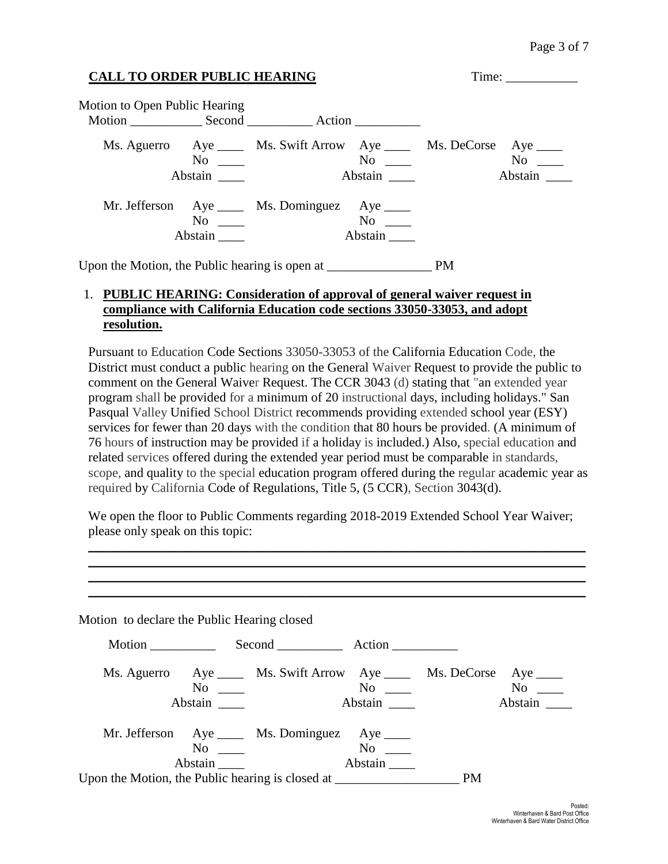| <b>CALL TO ORDER PUBLIC HEARING</b>            |                                                      |                                                                         |                                   |           |                                   |
|------------------------------------------------|------------------------------------------------------|-------------------------------------------------------------------------|-----------------------------------|-----------|-----------------------------------|
| Motion to Open Public Hearing                  |                                                      |                                                                         |                                   |           |                                   |
|                                                | Abstain                                              | Ms. Aguerro Aye _____ Ms. Swift Arrow Aye _____ Ms. DeCorse<br>$\rm No$ | $\mathrm{No}$ $\_\_$<br>Abstain _ |           | Aye $\_\_$<br>$\rm No$<br>Abstain |
|                                                | $\overline{N}$ o $\overline{\phantom{0}}$<br>Abstain | Mr. Jefferson Aye _____ Ms. Dominguez Aye _____                         | $No \t —$<br>Abstain              |           |                                   |
| Upon the Motion, the Public hearing is open at |                                                      |                                                                         |                                   | <b>PM</b> |                                   |

#### 1. **PUBLIC HEARING: Consideration of approval of general waiver request in compliance with California Education code sections 33050-33053, and adopt resolution.**

Pursuant to Education Code Sections 33050-33053 of the California Education Code, the District must conduct a public hearing on the General Waiver Request to provide the public to comment on the General Waiver Request. The CCR 3043 (d) stating that "an extended year program shall be provided for a minimum of 20 instructional days, including holidays." San Pasqual Valley Unified School District recommends providing extended school year (ESY) services for fewer than 20 days with the condition that 80 hours be provided. (A minimum of 76 hours of instruction may be provided if a holiday is included.) Also, special education and related services offered during the extended year period must be comparable in standards, scope, and quality to the special education program offered during the regular academic year as required by California Code of Regulations, Title 5, (5 CCR), Section 3043(d).

We open the floor to Public Comments regarding 2018-2019 Extended School Year Waiver; please only speak on this topic:

\_\_\_\_\_\_\_\_\_\_\_\_\_\_\_\_\_\_\_\_\_\_\_\_\_\_\_\_\_\_\_\_\_\_\_\_\_\_\_\_\_\_\_\_\_\_\_\_\_\_\_\_\_\_\_\_\_\_\_\_\_\_\_\_\_\_\_\_\_\_\_\_\_\_\_\_ \_\_\_\_\_\_\_\_\_\_\_\_\_\_\_\_\_\_\_\_\_\_\_\_\_\_\_\_\_\_\_\_\_\_\_\_\_\_\_\_\_\_\_\_\_\_\_\_\_\_\_\_\_\_\_\_\_\_\_\_\_\_\_\_\_\_\_\_\_\_\_\_\_\_\_\_ \_\_\_\_\_\_\_\_\_\_\_\_\_\_\_\_\_\_\_\_\_\_\_\_\_\_\_\_\_\_\_\_\_\_\_\_\_\_\_\_\_\_\_\_\_\_\_\_\_\_\_\_\_\_\_\_\_\_\_\_\_\_\_\_\_\_\_\_\_\_\_\_\_\_\_\_ \_\_\_\_\_\_\_\_\_\_\_\_\_\_\_\_\_\_\_\_\_\_\_\_\_\_\_\_\_\_\_\_\_\_\_\_\_\_\_\_\_\_\_\_\_\_\_\_\_\_\_\_\_\_\_\_\_\_\_\_\_\_\_\_\_\_\_\_\_\_\_\_\_\_\_\_

| Motion $\_\_$ |                                                                                                     |                                                            |                                                                                                                                                                                            |
|---------------|-----------------------------------------------------------------------------------------------------|------------------------------------------------------------|--------------------------------------------------------------------------------------------------------------------------------------------------------------------------------------------|
|               |                                                                                                     |                                                            | $No \t —$<br>Abstain $\overline{\phantom{a}}$                                                                                                                                              |
|               | $No \t —$                                                                                           | <b>PM</b>                                                  |                                                                                                                                                                                            |
|               | Motion to declare the Public Hearing closed<br>$\overline{N}$ $\overline{N}$<br>Abstain<br>$\rm No$ | Mr. Jefferson Aye _____ Ms. Dominguez Aye _____<br>Abstain | Second Action<br>Ms. Aguerro Aye _____ Ms. Swift Arrow Aye _____ Ms. DeCorse Aye ____<br>$No \ \_$<br>Abstain $\overline{\phantom{a}}$<br>Upon the Motion, the Public hearing is closed at |

 $M(t)$  is declared to declare the Public Hearing close  $\frac{1}{2}$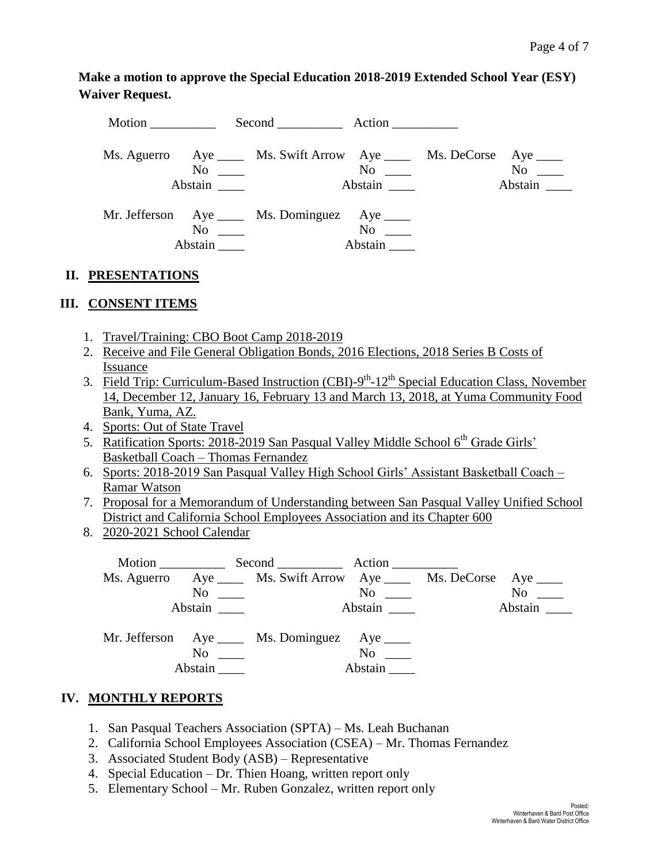**Make a motion to approve the Special Education 2018-2019 Extended School Year (ESY) Waiver Request.** 

| Motion |                     | Second Action                                                                                  |                      |                                              |               |
|--------|---------------------|------------------------------------------------------------------------------------------------|----------------------|----------------------------------------------|---------------|
|        | Abstain             | Ms. Aguerro Aye _____ Ms. Swift Arrow Aye _____ Ms. DeCorse Aye ____<br>$\overline{\text{No}}$ | Abstain              | $\overline{\text{No}}$ $\overline{\text{)}}$ | No<br>Abstain |
|        | $\rm No$<br>Abstain | Mr. Jefferson Aye ____ Ms. Dominguez Aye ____                                                  | $No \ \_$<br>Abstain |                                              |               |

# **II. PRESENTATIONS**

# **III. CONSENT ITEMS**

- 1. Travel/Training: CBO Boot Camp 2018-2019
- 2. Receive and File General Obligation Bonds, 2016 Elections, 2018 Series B Costs of Issuance
- 3. Field Trip: Curriculum-Based Instruction (CBI)-9<sup>th</sup>-12<sup>th</sup> Special Education Class, November 14, December 12, January 16, February 13 and March 13, 2018, at Yuma Community Food Bank, Yuma, AZ.
- 4. Sports: Out of State Travel
- 5. Ratification Sports: 2018-2019 San Pasqual Valley Middle School 6<sup>th</sup> Grade Girls' Basketball Coach – Thomas Fernandez
- 6. Sports: 2018-2019 San Pasqual Valley High School Girls' Assistant Basketball Coach Ramar Watson
- 7. Proposal for a Memorandum of Understanding between San Pasqual Valley Unified School District and California School Employees Association and its Chapter 600
- 8. 2020-2021 School Calendar

|         | Ms. Aguerro Aye ______ Ms. Swift Arrow Aye ______ Ms. DeCorse Aye _____ |                                             |           |
|---------|-------------------------------------------------------------------------|---------------------------------------------|-----------|
|         | $\overline{\text{No}}$ $\overline{\phantom{0}}$                         | $\overline{N}$ o $\overline{\phantom{nnn}}$ | $No \ \_$ |
| Abstain |                                                                         | Abstain                                     | Abstain   |
|         |                                                                         |                                             |           |
|         | Mr. Jefferson Aye _____ Ms. Dominguez Aye ____                          |                                             |           |
|         |                                                                         | $No \t —$                                   |           |
| Abstain |                                                                         | Abstain                                     |           |

# **IV. MONTHLY REPORTS**

- 1. San Pasqual Teachers Association (SPTA) Ms. Leah Buchanan
- 2. California School Employees Association (CSEA) Mr. Thomas Fernandez
- 3. Associated Student Body (ASB) Representative
- 4. Special Education Dr. Thien Hoang, written report only
- 5. Elementary School Mr. Ruben Gonzalez, written report only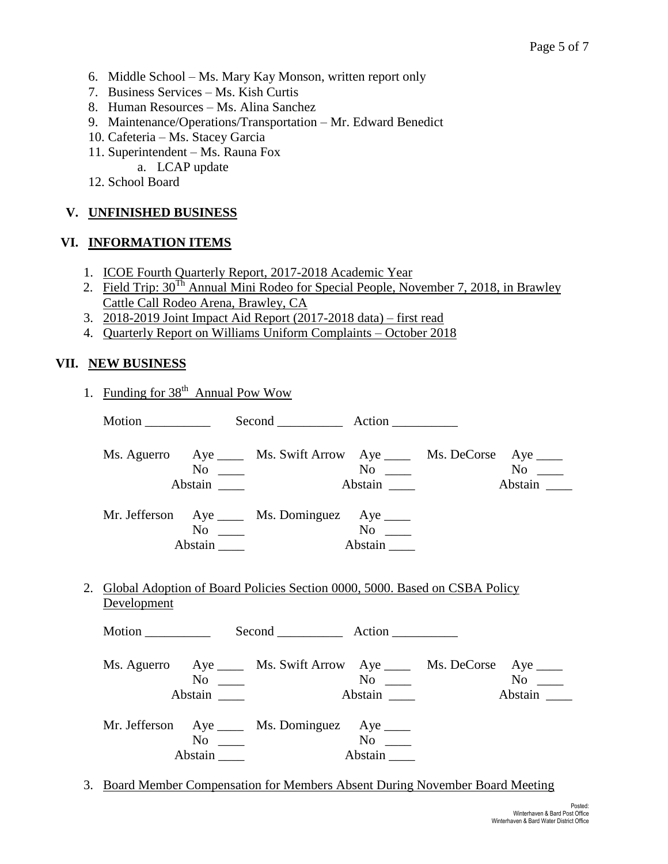- 6. Middle School Ms. Mary Kay Monson, written report only
- 7. Business Services Ms. Kish Curtis
- 8. Human Resources Ms. Alina Sanchez
- 9. Maintenance/Operations/Transportation Mr. Edward Benedict
- 10. Cafeteria Ms. Stacey Garcia
- 11. Superintendent Ms. Rauna Fox
	- a. LCAP update
- 12. School Board

#### **V. UNFINISHED BUSINESS**

#### **VI. INFORMATION ITEMS**

- 1. ICOE Fourth Quarterly Report, 2017-2018 Academic Year
- 2. Field Trip:  $30^{Th}$  Annual Mini Rodeo for Special People, November 7, 2018, in Brawley Cattle Call Rodeo Arena, Brawley, CA
- 3. 2018-2019 Joint Impact Aid Report (2017-2018 data) first read
- 4. Quarterly Report on Williams Uniform Complaints October 2018

#### **VII. NEW BUSINESS**

| 1. Funding for 38 <sup>th</sup> Annual Pow Wow |                                |                                                                               |         |         |
|------------------------------------------------|--------------------------------|-------------------------------------------------------------------------------|---------|---------|
|                                                |                                |                                                                               |         |         |
|                                                | $No \ \_$                      | Ms. Aguerro Aye _____ Ms. Swift Arrow Aye _____ Ms. DeCorse Aye ____          |         |         |
|                                                | Abstain _______                |                                                                               |         | Abstain |
|                                                | $No \_\_$                      | Mr. Jefferson Aye _____ Ms. Dominguez Aye _____                               | Abstain |         |
| Development                                    |                                | 2. Global Adoption of Board Policies Section 0000, 5000. Based on CSBA Policy |         |         |
|                                                |                                |                                                                               |         |         |
|                                                | $No \ \_$<br>Abstain $\_\_\_\$ | Ms. Aguerro Aye _____ Ms. Swift Arrow Aye _____ Ms. DeCorse Aye ____          | Abstain | Abstain |
|                                                | $No \_\_$<br>Abstain           | Mr. Jefferson Aye _____ Ms. Dominguez Aye _____                               | Abstain |         |

3. Board Member Compensation for Members Absent During November Board Meeting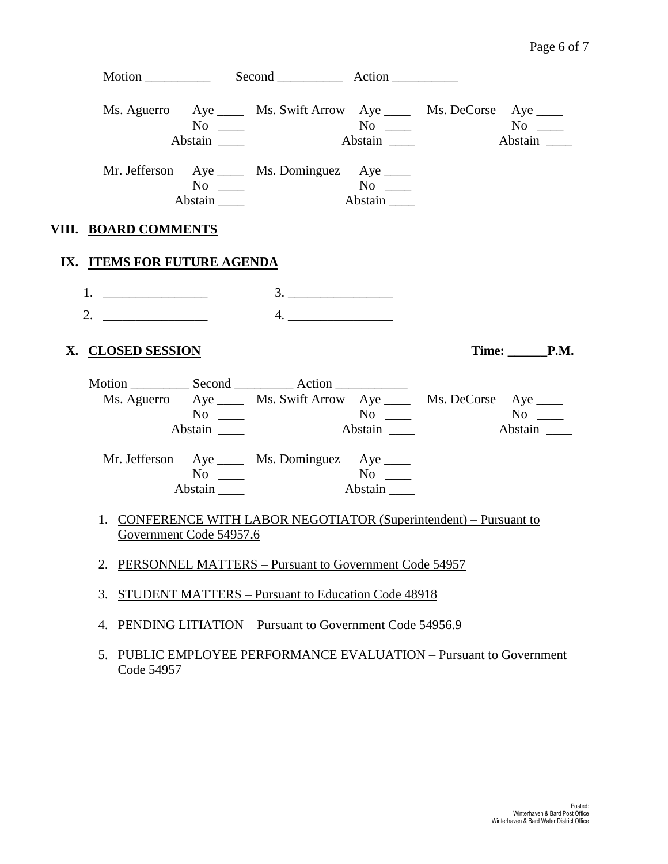|                             | $\overline{N_0}$<br>Abstain           | Ms. Aguerro Aye _____ Ms. Swift Arrow Aye _____ Ms. DeCorse Aye ____ | Abstain          | Abstain    |
|-----------------------------|---------------------------------------|----------------------------------------------------------------------|------------------|------------|
|                             | No $\qquad$<br>Abstain                | Mr. Jefferson Aye _____ Ms. Dominguez Aye _____                      | Abstain          |            |
| VIII. BOARD COMMENTS        |                                       |                                                                      |                  |            |
| IX. ITEMS FOR FUTURE AGENDA |                                       |                                                                      |                  |            |
| 2. $\qquad \qquad$          |                                       | 3.<br>4.                                                             |                  |            |
| X. CLOSED SESSION           |                                       |                                                                      |                  | Time: P.M. |
|                             | $No \ \_$<br>Abstain                  | Ms. Aguerro Aye _____ Ms. Swift Arrow Aye _____ Ms. DeCorse Aye ____ | Abstain          | Abstain    |
|                             | $No \_$<br>$Abstain$ <sub>_____</sub> | Mr. Jefferson Aye _____ Ms. Dominguez Aye _____                      | $N$ o<br>Abstain |            |
|                             | Government Code 54957.6               | 1. CONFERENCE WITH LABOR NEGOTIATOR (Superintendent) - Pursuant to   |                  |            |
|                             |                                       | 2. PERSONNEL MATTERS - Pursuant to Government Code 54957             |                  |            |
| 3.                          |                                       | STUDENT MATTERS - Pursuant to Education Code 48918                   |                  |            |
| 4.                          |                                       | PENDING LITIATION – Pursuant to Government Code 54956.9              |                  |            |
| 5.<br>Code 54957            |                                       | PUBLIC EMPLOYEE PERFORMANCE EVALUATION – Pursuant to Government      |                  |            |